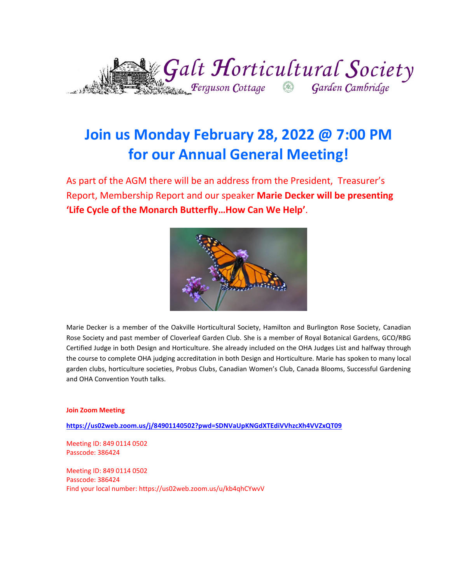

# **Join us Monday February 28, 2022 @ 7:00 PM for our Annual General Meeting!**

As part of the AGM there will be an address from the President, Treasurer's Report, Membership Report and our speaker **Marie Decker will be presenting 'Life Cycle of the Monarch Butterfly…How Can We Help'**.



Marie Decker is a member of the Oakville Horticultural Society, Hamilton and Burlington Rose Society, Canadian Rose Society and past member of Cloverleaf Garden Club. She is a member of Royal Botanical Gardens, GCO/RBG Certified Judge in both Design and Horticulture. She already included on the OHA Judges List and halfway through the course to complete OHA judging accreditation in both Design and Horticulture. Marie has spoken to many local garden clubs, horticulture societies, Probus Clubs, Canadian Women's Club, Canada Blooms, Successful Gardening and OHA Convention Youth talks.

#### **Join Zoom Meeting**

**<https://us02web.zoom.us/j/84901140502?pwd=SDNVaUpKNGdXTEdiVVhzcXh4VVZxQT09>**

Meeting ID: 849 0114 0502 Passcode: 386424

Meeting ID: 849 0114 0502 Passcode: 386424 Find your local number: https://us02web.zoom.us/u/kb4qhCYwvV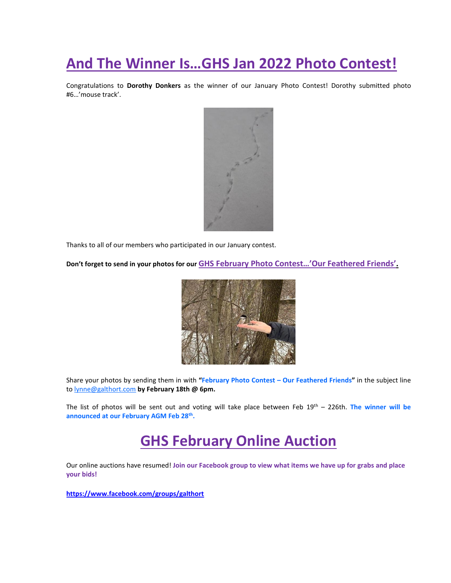# **And The Winner Is…GHS Jan 2022 Photo Contest!**

Congratulations to **Dorothy Donkers** as the winner of our January Photo Contest! Dorothy submitted photo #6…'mouse track'.



Thanks to all of our members who participated in our January contest.

**Don't forget to send in your photos for our GHS February Photo Contest…'Our Feathered Friends'.**



Share your photos by sending them in with **"February Photo Contest – Our Feathered Friends"** in the subject line to [lynne@galthort.com](mailto:lynne@galthort.com) **by February 18th @ 6pm.**

The list of photos will be sent out and voting will take place between Feb 19 th – 226th. **The winner will be announced at our February AGM Feb 28th .**

# **GHS February Online Auction**

Our online auctions have resumed! **Join our Facebook group to view what items we have up for grabs and place your bids!**

**<https://www.facebook.com/groups/galthort>**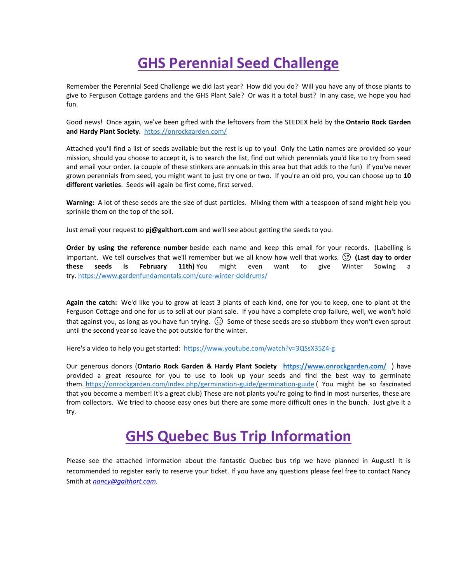# **GHS Perennial Seed Challenge**

Remember the Perennial Seed Challenge we did last year? How did you do? Will you have any of those plants to give to Ferguson Cottage gardens and the GHS Plant Sale? Or was it a total bust? In any case, we hope you had fun.

Good news! Once again, we've been gifted with the leftovers from the SEEDEX held by the **Ontario Rock Garden and Hardy Plant Society.** <https://onrockgarden.com/>

Attached you'll find a list of seeds available but the rest is up to you! Only the Latin names are provided so your mission, should you choose to accept it, is to search the list, find out which perennials you'd like to try from seed and email your order. (a couple of these stinkers are annuals in this area but that adds to the fun) If you've never grown perennials from seed, you might want to just try one or two. If you're an old pro, you can choose up to **10 different varieties**. Seeds will again be first come, first served.

**Warning:** A lot of these seeds are the size of dust particles. Mixing them with a teaspoon of sand might help you sprinkle them on the top of the soil.

Just email your request to **pj@galthort.com** and we'll see about getting the seeds to you.

**Order by using the reference number** beside each name and keep this email for your records. (Labelling is important. We tell ourselves that we'll remember but we all know how well that works. **(Last day to order these seeds is February 11th)** You might even want to give Winter Sowing a try. <https://www.gardenfundamentals.com/cure-winter-doldrums/>

**Again the catch:** We'd like you to grow at least 3 plants of each kind, one for you to keep, one to plant at the Ferguson Cottage and one for us to sell at our plant sale. If you have a complete crop failure, well, we won't hold that against you, as long as you have fun trying.  $\Omega$  Some of these seeds are so stubborn they won't even sprout until the second year so leave the pot outside for the winter.

Here's a video to help you get started:<https://www.youtube.com/watch?v=3QSsX35Z4-g>

Our generous donors (**Ontario Rock Garden & Hardy Plant Society <https://www.onrockgarden.com/>**) have provided a great resource for you to use to look up your seeds and find the best way to germinate them. <https://onrockgarden.com/index.php/germination-guide/germination-guide> ( You might be so fascinated that you become a member! It's a great club) These are not plants you're going to find in most nurseries, these are from collectors. We tried to choose easy ones but there are some more difficult ones in the bunch. Just give it a try.

# **GHS Quebec Bus Trip Information**

Please see the attached information about the fantastic Quebec bus trip we have planned in August! It is recommended to register early to reserve your ticket. If you have any questions please feel free to contact Nancy Smith at *[nancy@galthort.com.](mailto:nancy@galthort.com)*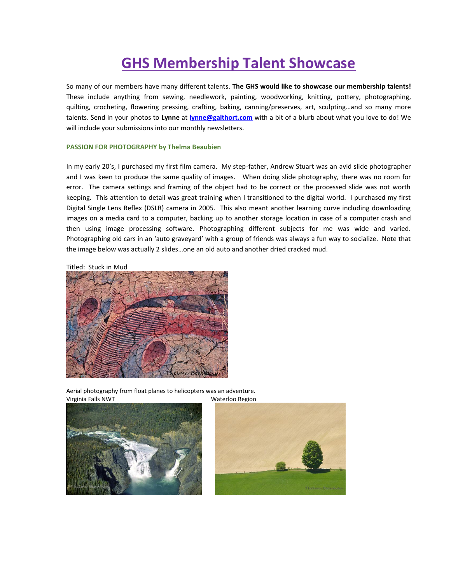# **GHS Membership Talent Showcase**

So many of our members have many different talents. **The GHS would like to showcase our membership talents!** These include anything from sewing, needlework, painting, woodworking, knitting, pottery, photographing, quilting, crocheting, flowering pressing, crafting, baking, canning/preserves, art, sculpting…and so many more talents. Send in your photos to **Lynne** at **[lynne@galthort.com](mailto:lynne@galthort.com)** with a bit of a blurb about what you love to do! We will include your submissions into our monthly newsletters.

#### **PASSION FOR PHOTOGRAPHY by Thelma Beaubien**

In my early 20's, I purchased my first film camera. My step-father, Andrew Stuart was an avid slide photographer and I was keen to produce the same quality of images. When doing slide photography, there was no room for error. The camera settings and framing of the object had to be correct or the processed slide was not worth keeping. This attention to detail was great training when I transitioned to the digital world. I purchased my first Digital Single Lens Reflex (DSLR) camera in 2005. This also meant another learning curve including downloading images on a media card to a computer, backing up to another storage location in case of a computer crash and then using image processing software. Photographing different subjects for me was wide and varied. Photographing old cars in an 'auto graveyard' with a group of friends was always a fun way to socialize. Note that the image below was actually 2 slides…one an old auto and another dried cracked mud.

## Titled: Stuck in Mud



Aerial photography from float planes to helicopters was an adventure. Virginia Falls NWT Waterloo Region



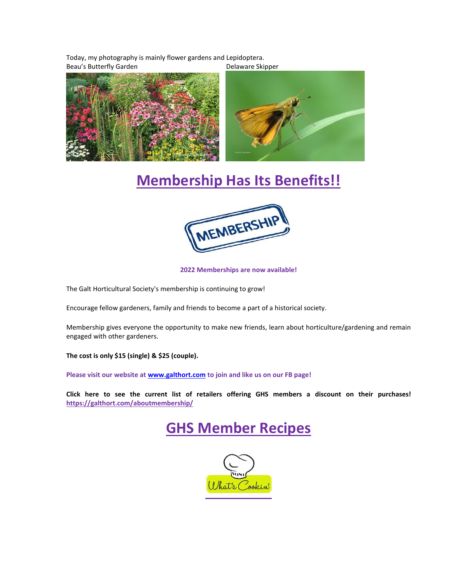Today, my photography is mainly flower gardens and Lepidoptera. Beau's Butterfly Garden **Delaware Skipper** 



# **Membership Has Its Benefits!!**



**2022 Memberships are now available!**

The Galt Horticultural Society's membership is continuing to grow!

Encourage fellow gardeners, family and friends to become a part of a historical society.

Membership gives everyone the opportunity to make new friends, learn about horticulture/gardening and remain engaged with other gardeners.

**The cost is only \$15 (single) & \$25 (couple).** 

**Please visit our website a[t www.galthort.com](http://www.galthort.com/) to join and like us on our FB page!**

**Click here to see the current list of retailers offering GHS members a discount on their purchases! <https://galthort.com/aboutmembership/>**



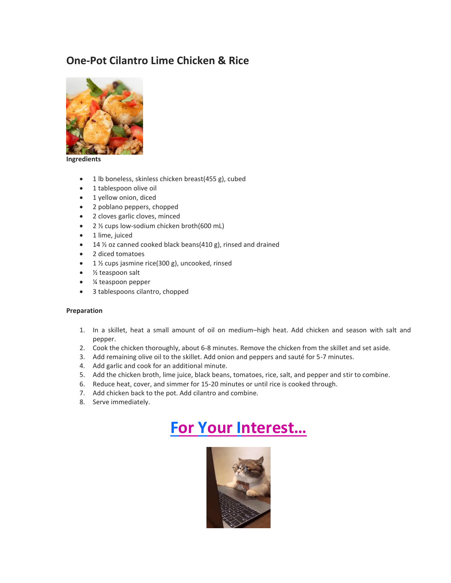## **One-Pot Cilantro Lime Chicken & Rice**



#### **Ingredients**

- 1 lb boneless, skinless chicken breast(455 g), cubed
- 1 tablespoon olive oil
- 1 yellow onion, diced
- 2 poblano peppers, chopped
- 2 cloves garlic cloves, minced
- 2 1/2 cups low-sodium chicken broth(600 mL)
- 1 lime, juiced
- 14  $\frac{1}{2}$  oz canned cooked black beans(410 g), rinsed and drained
- 2 diced tomatoes
- 1 ½ cups jasmine rice(300 g), uncooked, rinsed
- 1/<sub>2</sub> teaspoon salt
- ¼ teaspoon pepper
- 3 tablespoons cilantro, chopped

#### **Preparation**

- 1. In a skillet, heat a small amount of oil on medium–high heat. Add chicken and season with salt and pepper.
- 2. Cook the chicken thoroughly, about 6-8 minutes. Remove the chicken from the skillet and set aside.
- 3. Add remaining olive oil to the skillet. Add onion and peppers and sauté for 5-7 minutes.
- 4. Add garlic and cook for an additional minute.
- 5. Add the chicken broth, lime juice, black beans, tomatoes, rice, salt, and pepper and stir to combine.
- 6. Reduce heat, cover, and simmer for 15-20 minutes or until rice is cooked through.
- 7. Add chicken back to the pot. Add cilantro and combine.
- 8. Serve immediately.

# **For Your Interest…**

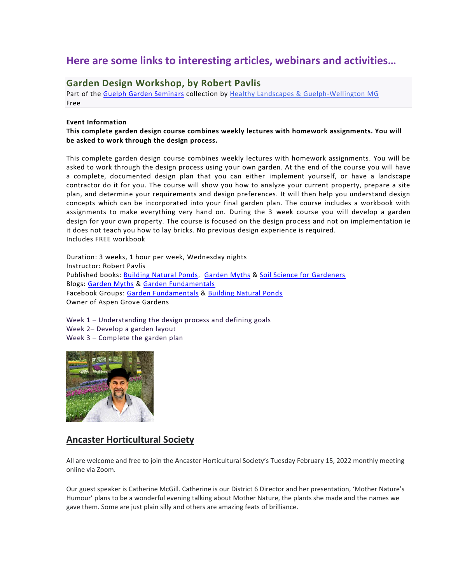## **Here are some links to interesting articles, webinars and activities…**

## **Garden Design Workshop, by Robert Pavlis**

Part of the [Guelph Garden Seminars](https://www.eventbrite.ca/cc/guelph-garden-seminars-116969) collection by [Healthy Landscapes & Guelph-Wellington MG](https://www.eventbrite.ca/o/healthy-landscapes-amp-guelph-wellington-mg-13057942204) Free

## **Event Information**

**This complete garden design course combines weekly lectures with homework assignments. You will be asked to work through the design process.**

This complete garden design course combines weekly lectures with homework assignments. You will be asked to work through the design process using your own garden. At the end of the course you will have a complete, documented design plan that you can either implement yourself, or have a landscape contractor do it for you. The course will show you how to analyze your current property, prepare a site plan, and determine your requirements and design preferences. It will then help you understand design concepts which can be incorporated into your final garden plan. The course includes a workbook with assignments to make everything very hand on. During the 3 week course you will develop a garden design for your own property. The course is focused on the design process and not on implementation ie it does not teach you how to lay bricks. No previous design experience is required. Includes FREE workbook

Duration: 3 weeks, 1 hour per week, Wednesday nights Instructor: Robert Pavlis Published books: [Building Natural Ponds,](http://www.buildingnaturalponds.com/) [Garden Myths](http://www.gardenmyths.com/garden-myths-book-1/) & [Soil Science for Gardeners](https://www.gardenfundamentals.com/soil-science/) Blogs: [Garden Myths](http://www.gardenmyths.com/) & [Garden Fundamentals](http://gardenfundamentals/) Facebook Groups: [Garden Fundamentals](https://www.facebook.com/groups/356927494777686/) & [Building Natural Ponds](https://www.facebook.com/groups/buildingnaturalponds/) Owner of Aspen Grove Gardens

Week 1 – Understanding the design process and defining goals Week 2– Develop a garden layout Week 3 – Complete the garden plan



## **Ancaster Horticultural Society**

All are welcome and free to join the Ancaster Horticultural Society's Tuesday February 15, 2022 monthly meeting online via Zoom.

Our guest speaker is Catherine McGill. Catherine is our District 6 Director and her presentation, 'Mother Nature's Humour' plans to be a wonderful evening talking about Mother Nature, the plants she made and the names we gave them. Some are just plain silly and others are amazing feats of brilliance.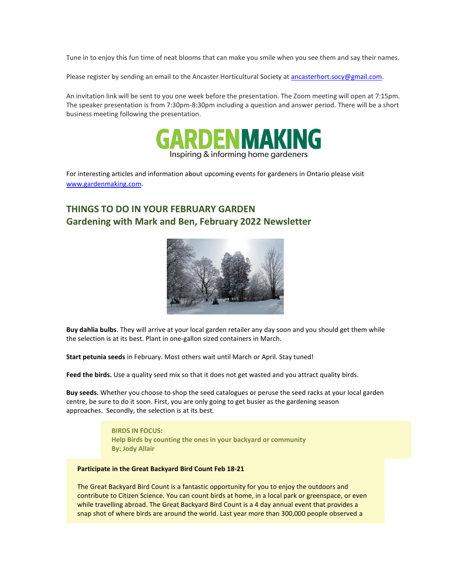Tune in to enjoy this fun time of neat blooms that can make you smile when you see them and say their names.

Please register by sending an email to the Ancaster Horticultural Society at [ancasterhort.socy@gmail.com.](mailto:ancasterhort.socy@gmail.com)

An invitation link will be sent to you one week before the presentation. The Zoom meeting will open at 7:15pm. The speaker presentation is from 7:30pm-8:30pm including a question and answer period. There will be a short business meeting following the presentation.



For interesting articles and information about upcoming events for gardeners in Ontario please visit [www.gardenmaking.com.](http://www.gardenmaking.com/)

## **THINGS TO DO IN YOUR FEBRUARY GARDEN Gardening with Mark and Ben, February 2022 Newsletter**



**Buy dahlia bulbs**. They will arrive at your local garden retailer any day soon and you should get them while the selection is at its best. Plant in one-gallon sized containers in March.

**Start petunia seeds** in February. Most others wait until March or April. Stay tuned!

**Feed the birds.** Use a quality seed mix so that it does not get wasted and you attract quality birds.

**Buy seeds.** Whether you choose to shop the seed catalogues or peruse the seed racks at your local garden centre, be sure to do it soon. First, you are only going to get busier as the gardening season approaches. Secondly, the selection is at its best.

> **BIRDS IN FOCUS: Help Birds by counting the ones in your backyard or community By: Jody Allair**

#### **Participate in the Great Backyard Bird Count Feb 18-21**

The Great Backyard Bird Count is a fantastic opportunity for you to enjoy the outdoors and contribute to Citizen Science. You can count birds at home, in a local park or greenspace, or even while travelling abroad. The Great Backyard Bird Count is a 4 day annual event that provides a snap shot of where birds are around the world. Last year more than 300,000 people observed a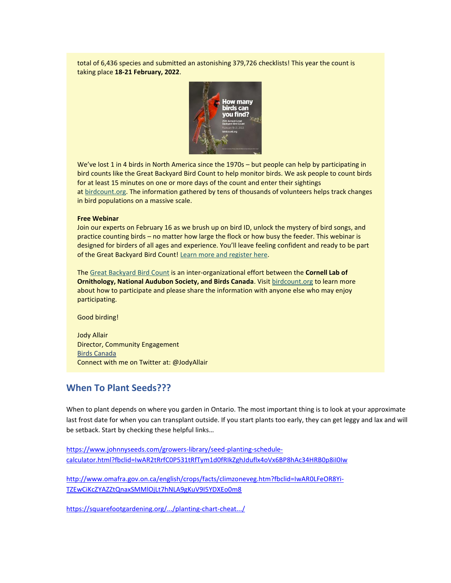total of 6,436 species and submitted an astonishing 379,726 checklists! This year the count is taking place **18-21 February, 2022**.



We've lost 1 in 4 birds in North America since the 1970s – but people can help by participating in bird counts like the Great Backyard Bird Count to help monitor birds. We ask people to count birds for at least 15 minutes on one or more days of the count and enter their sightings at [birdcount.org.](https://r20.rs6.net/tn.jsp?f=0019UHujTZ79VKPxP3mjqcy5AUCCJBxiO8ThtoqJ5MgHyl4MFwwoqDNguVA32Mb1riJ50gwzPigepm2fZ4jsAQtkLOQfh8ONuxIJA6EXqd6IICFKg3ochRAIu3eZB4GWjhFvn6LkOMpB7dlaKtEyYq16A==&c=7ykO9x6H228bMwlqgC6qP0WaYs8XjaECKT4Rjvbj9AN0btZjwKfPtA==&ch=mVwM6Map8USh6eQi8xMQpysvlXFDoVBH1nVR36CCC0KAO07u6Y-twQ==) The information gathered by tens of thousands of volunteers helps track changes in bird populations on a massive scale.

### **Free Webinar**

Join our experts on February 16 as we brush up on bird ID, unlock the mystery of bird songs, and practice counting birds – no matter how large the flock or how busy the feeder. This webinar is designed for birders of all ages and experience. You'll leave feeling confident and ready to be part of the Great Backyard Bird Count! [Learn more and register here.](https://r20.rs6.net/tn.jsp?f=0019UHujTZ79VKPxP3mjqcy5AUCCJBxiO8ThtoqJ5MgHyl4MFwwoqDNgsK3_LQ9zQPnts-3zevUtIQiISeTCSdIdyoPRHNQ7m_fTrtoshR0IYLrS9KKWh2lIxCfEY_2cL_XFL9iH8katxScl434XyHleQGQWfOWQJBb6xbBJwL83ysHCmrOKyR0VkFW4Ry5GvLkC1W_yj7Qvqg=&c=7ykO9x6H228bMwlqgC6qP0WaYs8XjaECKT4Rjvbj9AN0btZjwKfPtA==&ch=mVwM6Map8USh6eQi8xMQpysvlXFDoVBH1nVR36CCC0KAO07u6Y-twQ==)

The [Great Backyard Bird Count](https://r20.rs6.net/tn.jsp?f=0019UHujTZ79VKPxP3mjqcy5AUCCJBxiO8ThtoqJ5MgHyl4MFwwoqDNgsK3_LQ9zQPn8FR38fJAY9daS8URiL9AbJJvJgA12pJhR1J8ZCtXiwLDzrKH1-E8f6Iq1KyM0EU8mTeDX-RLrVo7ft8WfdvkXg==&c=7ykO9x6H228bMwlqgC6qP0WaYs8XjaECKT4Rjvbj9AN0btZjwKfPtA==&ch=mVwM6Map8USh6eQi8xMQpysvlXFDoVBH1nVR36CCC0KAO07u6Y-twQ==) is an inter-organizational effort between the **Cornell Lab of Ornithology, National Audubon Society, and Birds Canada**. Visit [birdcount.org](https://r20.rs6.net/tn.jsp?f=0019UHujTZ79VKPxP3mjqcy5AUCCJBxiO8ThtoqJ5MgHyl4MFwwoqDNguVA32Mb1riJ50gwzPigepm2fZ4jsAQtkLOQfh8ONuxIJA6EXqd6IICFKg3ochRAIu3eZB4GWjhFvn6LkOMpB7dlaKtEyYq16A==&c=7ykO9x6H228bMwlqgC6qP0WaYs8XjaECKT4Rjvbj9AN0btZjwKfPtA==&ch=mVwM6Map8USh6eQi8xMQpysvlXFDoVBH1nVR36CCC0KAO07u6Y-twQ==) to learn more about how to participate and please share the information with anyone else who may enjoy participating.

Good birding!

Jody Allair Director, Community Engagement [Birds Canada](https://r20.rs6.net/tn.jsp?f=0019UHujTZ79VKPxP3mjqcy5AUCCJBxiO8ThtoqJ5MgHyl4MFwwoqDNgiLzeHFEK6GVqovozAizGPdxiCI3yWVwUJ7-HsucDZlzO6tZ4Mz60UHKIpj2RpHTQeIyGruXzXkFcNdbpvgByxwSsShjeVbYag==&c=7ykO9x6H228bMwlqgC6qP0WaYs8XjaECKT4Rjvbj9AN0btZjwKfPtA==&ch=mVwM6Map8USh6eQi8xMQpysvlXFDoVBH1nVR36CCC0KAO07u6Y-twQ==) Connect with me on Twitter at: @JodyAllair

## **When To Plant Seeds???**

When to plant depends on where you garden in Ontario. The most important thing is to look at your approximate last frost date for when you can transplant outside. If you start plants too early, they can get leggy and lax and will be setback. Start by checking these helpful links…

[https://www.johnnyseeds.com/growers-library/seed-planting-schedule](https://www.johnnyseeds.com/growers-library/seed-planting-schedule-calculator.html?fbclid=IwAR2tRrfC0P531tRfTym1d0fRIkZghJduflx4oVx6BP8hAc34HRB0p8iI0Iw)[calculator.html?fbclid=IwAR2tRrfC0P531tRfTym1d0fRIkZghJduflx4oVx6BP8hAc34HRB0p8iI0Iw](https://www.johnnyseeds.com/growers-library/seed-planting-schedule-calculator.html?fbclid=IwAR2tRrfC0P531tRfTym1d0fRIkZghJduflx4oVx6BP8hAc34HRB0p8iI0Iw)

[http://www.omafra.gov.on.ca/english/crops/facts/climzoneveg.htm?fbclid=IwAR0LFeOR8Yi-](http://www.omafra.gov.on.ca/english/crops/facts/climzoneveg.htm?fbclid=IwAR0LFeOR8Yi-TZEwCiKcZYAZZtQnaxSMMlOjLt7hNLA9gKuV9I5YDXEo0m8)[TZEwCiKcZYAZZtQnaxSMMlOjLt7hNLA9gKuV9I5YDXEo0m8](http://www.omafra.gov.on.ca/english/crops/facts/climzoneveg.htm?fbclid=IwAR0LFeOR8Yi-TZEwCiKcZYAZZtQnaxSMMlOjLt7hNLA9gKuV9I5YDXEo0m8)

<https://squarefootgardening.org/.../planting-chart-cheat.../>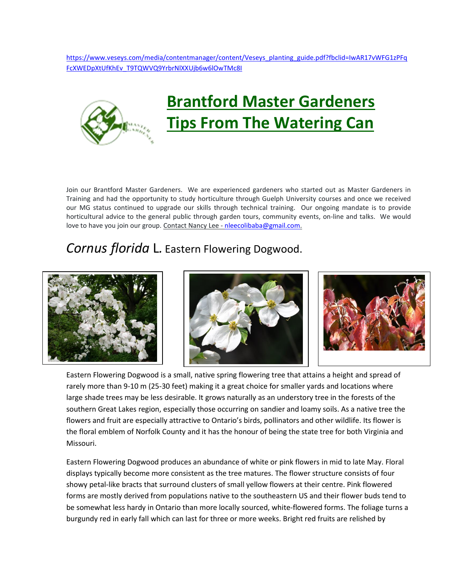[https://www.veseys.com/media/contentmanager/content/Veseys\\_planting\\_guide.pdf?fbclid=IwAR17vWFG1zPFq](https://www.veseys.com/media/contentmanager/content/Veseys_planting_guide.pdf?fbclid=IwAR17vWFG1zPFqFcXWEDpXtUfKhEv_T9TQWVQ9YrbrNlXXUjb6w6lOwTMc8I) [FcXWEDpXtUfKhEv\\_T9TQWVQ9YrbrNlXXUjb6w6lOwTMc8I](https://www.veseys.com/media/contentmanager/content/Veseys_planting_guide.pdf?fbclid=IwAR17vWFG1zPFqFcXWEDpXtUfKhEv_T9TQWVQ9YrbrNlXXUjb6w6lOwTMc8I)



Join our Brantford Master Gardeners. We are experienced gardeners who started out as Master Gardeners in Training and had the opportunity to study horticulture through Guelph University courses and once we received our MG status continued to upgrade our skills through technical training. Our ongoing mandate is to provide horticultural advice to the general public through garden tours, community events, on-line and talks. We would love to have you join our group. Contact Nancy Lee - [nleecolibaba@gmail.com.](mailto:nleecolibaba@gmail.com)

## *Cornus florida* L*.* Eastern Flowering Dogwood.







Eastern Flowering Dogwood is a small, native spring flowering tree that attains a height and spread of rarely more than 9-10 m (25-30 feet) making it a great choice for smaller yards and locations where large shade trees may be less desirable. It grows naturally as an understory tree in the forests of the southern Great Lakes region, especially those occurring on sandier and loamy soils. As a native tree the flowers and fruit are especially attractive to Ontario's birds, pollinators and other wildlife. Its flower is the floral emblem of Norfolk County and it has the honour of being the state tree for both Virginia and Missouri.

Eastern Flowering Dogwood produces an abundance of white or pink flowers in mid to late May. Floral displays typically become more consistent as the tree matures. The flower structure consists of four showy petal-like bracts that surround clusters of small yellow flowers at their centre. Pink flowered forms are mostly derived from populations native to the southeastern US and their flower buds tend to be somewhat less hardy in Ontario than more locally sourced, white-flowered forms. The foliage turns a burgundy red in early fall which can last for three or more weeks. Bright red fruits are relished by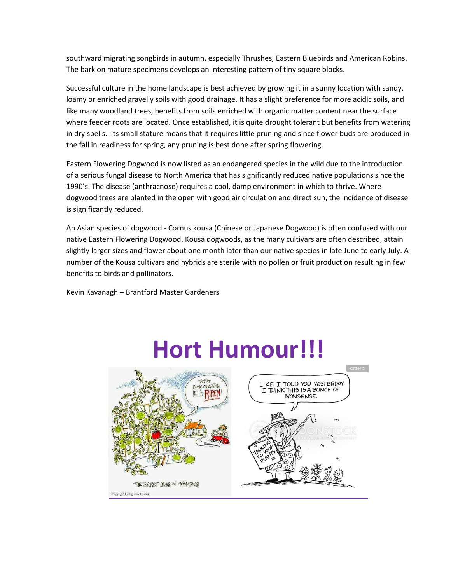southward migrating songbirds in autumn, especially Thrushes, Eastern Bluebirds and American Robins. The bark on mature specimens develops an interesting pattern of tiny square blocks.

Successful culture in the home landscape is best achieved by growing it in a sunny location with sandy, loamy or enriched gravelly soils with good drainage. It has a slight preference for more acidic soils, and like many woodland trees, benefits from soils enriched with organic matter content near the surface where feeder roots are located. Once established, it is quite drought tolerant but benefits from watering in dry spells. Its small stature means that it requires little pruning and since flower buds are produced in the fall in readiness for spring, any pruning is best done after spring flowering.

Eastern Flowering Dogwood is now listed as an endangered species in the wild due to the introduction of a serious fungal disease to North America that has significantly reduced native populations since the 1990's. The disease (anthracnose) requires a cool, damp environment in which to thrive. Where dogwood trees are planted in the open with good air circulation and direct sun, the incidence of disease is significantly reduced.

An Asian species of dogwood - Cornus kousa (Chinese or Japanese Dogwood) is often confused with our native Eastern Flowering Dogwood. Kousa dogwoods, as the many cultivars are often described, attain slightly larger sizes and flower about one month later than our native species in late June to early July. A number of the Kousa cultivars and hybrids are sterile with no pollen or fruit production resulting in few benefits to birds and pollinators.

Kevin Kavanagh – Brantford Master Gardeners



# **Hort Humour!!!**